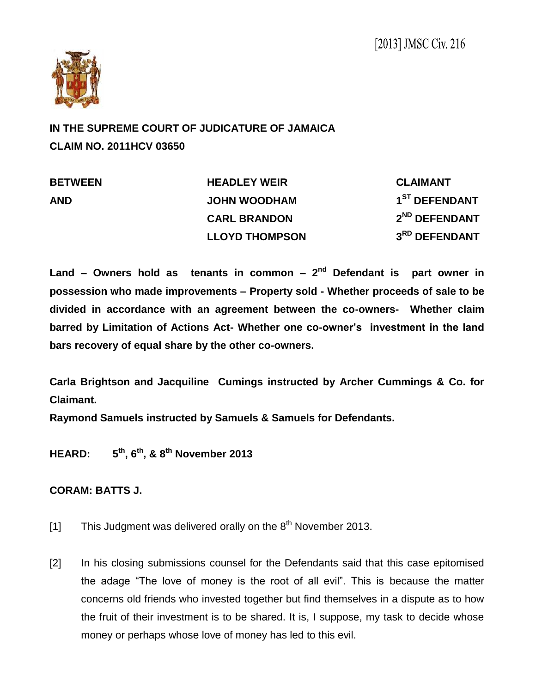

**IN THE SUPREME COURT OF JUDICATURE OF JAMAICA CLAIM NO. 2011HCV 03650**

| <b>BETWEEN</b> | <b>HEADLEY WEIR</b>   | <b>CLAIMANT</b>           |
|----------------|-----------------------|---------------------------|
| <b>AND</b>     | <b>JOHN WOODHAM</b>   | 1 <sup>ST</sup> DEFENDANT |
|                | <b>CARL BRANDON</b>   | 2 <sup>ND</sup> DEFENDANT |
|                | <b>LLOYD THOMPSON</b> | 3RD DEFENDANT             |

Land – Owners hold as tenants in common – 2<sup>nd</sup> Defendant is part owner in **possession who made improvements – Property sold - Whether proceeds of sale to be divided in accordance with an agreement between the co-owners- Whether claim barred by Limitation of Actions Act- Whether one co-owner's investment in the land bars recovery of equal share by the other co-owners.**

**Carla Brightson and Jacquiline Cumings instructed by Archer Cummings & Co. for Claimant.**

**Raymond Samuels instructed by Samuels & Samuels for Defendants.**

**HEARD: 5 th, 6th, & 8 th November 2013**

## **CORAM: BATTS J.**

- [1] This Judgment was delivered orally on the  $8<sup>th</sup>$  November 2013.
- [2] In his closing submissions counsel for the Defendants said that this case epitomised the adage "The love of money is the root of all evil". This is because the matter concerns old friends who invested together but find themselves in a dispute as to how the fruit of their investment is to be shared. It is, I suppose, my task to decide whose money or perhaps whose love of money has led to this evil.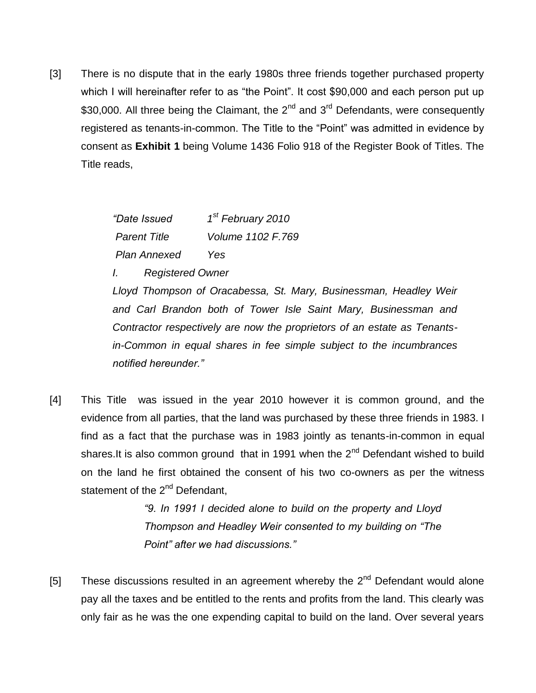[3] There is no dispute that in the early 1980s three friends together purchased property which I will hereinafter refer to as "the Point". It cost \$90,000 and each person put up \$30,000. All three being the Claimant, the  $2^{nd}$  and  $3^{rd}$  Defendants, were consequently registered as tenants-in-common. The Title to the "Point" was admitted in evidence by consent as **Exhibit 1** being Volume 1436 Folio 918 of the Register Book of Titles. The Title reads,

| "Date Issued        | 1 <sup>st</sup> February 2010 |
|---------------------|-------------------------------|
| <b>Parent Title</b> | Volume 1102 F.769             |
| <b>Plan Annexed</b> | Yes                           |

*I. Registered Owner*

*Lloyd Thompson of Oracabessa, St. Mary, Businessman, Headley Weir and Carl Brandon both of Tower Isle Saint Mary, Businessman and Contractor respectively are now the proprietors of an estate as Tenantsin-Common in equal shares in fee simple subject to the incumbrances notified hereunder."*

[4] This Title was issued in the year 2010 however it is common ground, and the evidence from all parties, that the land was purchased by these three friends in 1983. I find as a fact that the purchase was in 1983 jointly as tenants-in-common in equal shares.It is also common ground that in 1991 when the 2<sup>nd</sup> Defendant wished to build on the land he first obtained the consent of his two co-owners as per the witness statement of the 2<sup>nd</sup> Defendant,

> *"9. In 1991 I decided alone to build on the property and Lloyd Thompson and Headley Weir consented to my building on "The Point" after we had discussions."*

[5] These discussions resulted in an agreement whereby the  $2^{nd}$  Defendant would alone pay all the taxes and be entitled to the rents and profits from the land. This clearly was only fair as he was the one expending capital to build on the land. Over several years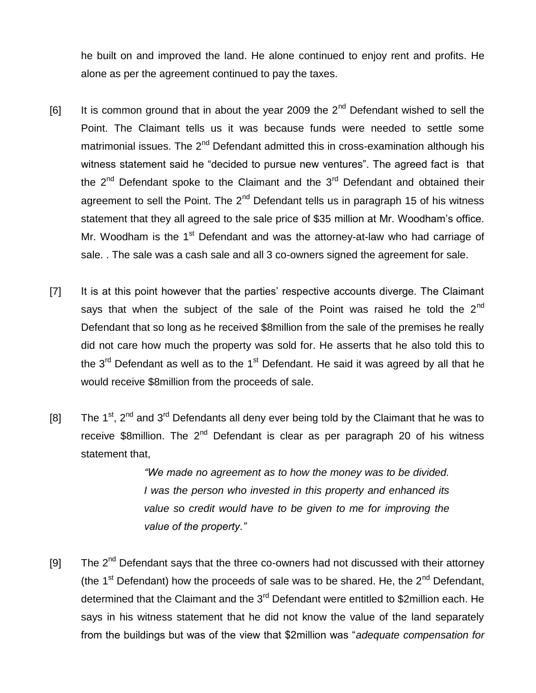he built on and improved the land. He alone continued to enjoy rent and profits. He alone as per the agreement continued to pay the taxes.

- [6] It is common ground that in about the year 2009 the  $2^{nd}$  Defendant wished to sell the Point. The Claimant tells us it was because funds were needed to settle some matrimonial issues. The  $2<sup>nd</sup>$  Defendant admitted this in cross-examination although his witness statement said he "decided to pursue new ventures". The agreed fact is that the  $2<sup>nd</sup>$  Defendant spoke to the Claimant and the  $3<sup>rd</sup>$  Defendant and obtained their agreement to sell the Point. The 2<sup>nd</sup> Defendant tells us in paragraph 15 of his witness statement that they all agreed to the sale price of \$35 million at Mr. Woodham's office. Mr. Woodham is the  $1<sup>st</sup>$  Defendant and was the attorney-at-law who had carriage of sale. . The sale was a cash sale and all 3 co-owners signed the agreement for sale.
- [7] It is at this point however that the parties' respective accounts diverge. The Claimant says that when the subject of the sale of the Point was raised he told the  $2^{nd}$ Defendant that so long as he received \$8million from the sale of the premises he really did not care how much the property was sold for. He asserts that he also told this to the  $3<sup>rd</sup>$  Defendant as well as to the 1<sup>st</sup> Defendant. He said it was agreed by all that he would receive \$8million from the proceeds of sale.
- [8] The 1<sup>st</sup>, 2<sup>nd</sup> and 3<sup>rd</sup> Defendants all deny ever being told by the Claimant that he was to receive \$8million. The  $2^{nd}$  Defendant is clear as per paragraph 20 of his witness statement that,

*"We made no agreement as to how the money was to be divided. I was the person who invested in this property and enhanced its value so credit would have to be given to me for improving the value of the property."*

[9] The  $2^{nd}$  Defendant says that the three co-owners had not discussed with their attorney (the 1<sup>st</sup> Defendant) how the proceeds of sale was to be shared. He, the  $2^{nd}$  Defendant, determined that the Claimant and the 3<sup>rd</sup> Defendant were entitled to \$2million each. He says in his witness statement that he did not know the value of the land separately from the buildings but was of the view that \$2million was "*adequate compensation for*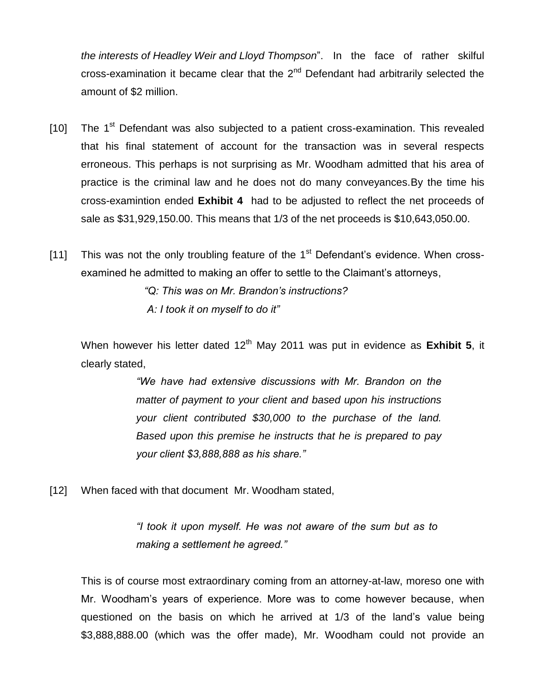*the interests of Headley Weir and Lloyd Thompson*". In the face of rather skilful cross-examination it became clear that the  $2<sup>nd</sup>$  Defendant had arbitrarily selected the amount of \$2 million.

- [10] The  $1<sup>st</sup>$  Defendant was also subjected to a patient cross-examination. This revealed that his final statement of account for the transaction was in several respects erroneous. This perhaps is not surprising as Mr. Woodham admitted that his area of practice is the criminal law and he does not do many conveyances.By the time his cross-examintion ended **Exhibit 4** had to be adjusted to reflect the net proceeds of sale as \$31,929,150.00. This means that 1/3 of the net proceeds is \$10,643,050.00.
- [11] This was not the only troubling feature of the  $1<sup>st</sup>$  Defendant's evidence. When crossexamined he admitted to making an offer to settle to the Claimant's attorneys,

*"Q: This was on Mr. Brandon's instructions? A: I took it on myself to do it"*

When however his letter dated 12<sup>th</sup> May 2011 was put in evidence as **Exhibit 5**, it clearly stated,

> *"We have had extensive discussions with Mr. Brandon on the matter of payment to your client and based upon his instructions your client contributed \$30,000 to the purchase of the land. Based upon this premise he instructs that he is prepared to pay your client \$3,888,888 as his share."*

[12] When faced with that document Mr. Woodham stated,

*"I took it upon myself. He was not aware of the sum but as to making a settlement he agreed."*

This is of course most extraordinary coming from an attorney-at-law, moreso one with Mr. Woodham's years of experience. More was to come however because, when questioned on the basis on which he arrived at 1/3 of the land's value being \$3,888,888.00 (which was the offer made), Mr. Woodham could not provide an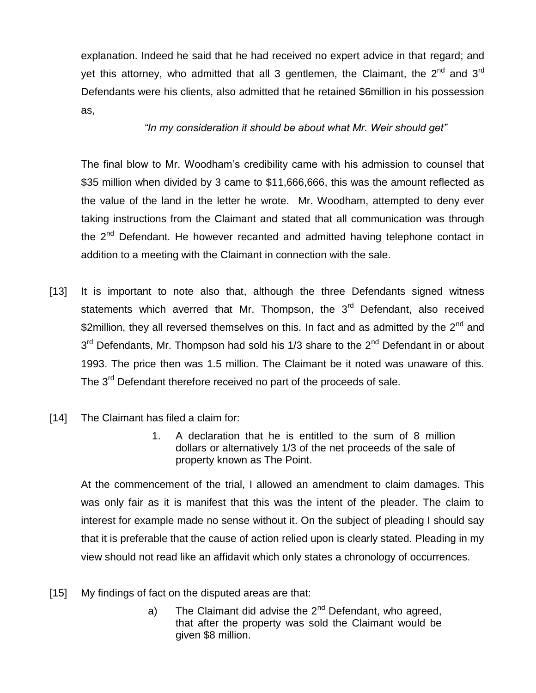explanation. Indeed he said that he had received no expert advice in that regard; and yet this attorney, who admitted that all 3 gentlemen, the Claimant, the 2<sup>nd</sup> and 3<sup>rd</sup> Defendants were his clients, also admitted that he retained \$6million in his possession as,

## *"In my consideration it should be about what Mr. Weir should get"*

The final blow to Mr. Woodham's credibility came with his admission to counsel that \$35 million when divided by 3 came to \$11,666,666, this was the amount reflected as the value of the land in the letter he wrote. Mr. Woodham, attempted to deny ever taking instructions from the Claimant and stated that all communication was through the 2<sup>nd</sup> Defendant. He however recanted and admitted having telephone contact in addition to a meeting with the Claimant in connection with the sale.

- [13] It is important to note also that, although the three Defendants signed witness statements which averred that Mr. Thompson, the 3<sup>rd</sup> Defendant, also received \$2million, they all reversed themselves on this. In fact and as admitted by the  $2^{nd}$  and 3<sup>rd</sup> Defendants, Mr. Thompson had sold his 1/3 share to the 2<sup>nd</sup> Defendant in or about 1993. The price then was 1.5 million. The Claimant be it noted was unaware of this. The 3<sup>rd</sup> Defendant therefore received no part of the proceeds of sale.
- [14] The Claimant has filed a claim for:
	- 1. A declaration that he is entitled to the sum of 8 million dollars or alternatively 1/3 of the net proceeds of the sale of property known as The Point.

At the commencement of the trial, I allowed an amendment to claim damages. This was only fair as it is manifest that this was the intent of the pleader. The claim to interest for example made no sense without it. On the subject of pleading I should say that it is preferable that the cause of action relied upon is clearly stated. Pleading in my view should not read like an affidavit which only states a chronology of occurrences.

- [15] My findings of fact on the disputed areas are that:
	- a) The Claimant did advise the  $2<sup>nd</sup>$  Defendant, who agreed, that after the property was sold the Claimant would be given \$8 million.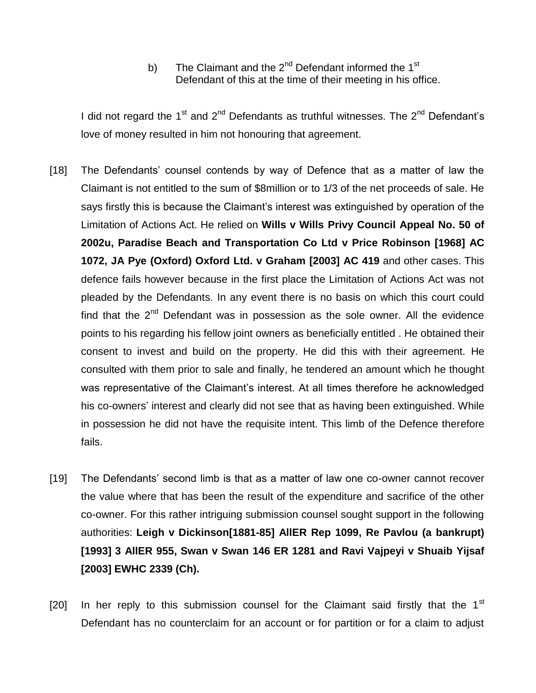b) The Claimant and the  $2^{nd}$  Defendant informed the 1<sup>st</sup> Defendant of this at the time of their meeting in his office.

I did not regard the  $1<sup>st</sup>$  and  $2<sup>nd</sup>$  Defendants as truthful witnesses. The  $2<sup>nd</sup>$  Defendant's love of money resulted in him not honouring that agreement.

- [18] The Defendants' counsel contends by way of Defence that as a matter of law the Claimant is not entitled to the sum of \$8million or to 1/3 of the net proceeds of sale. He says firstly this is because the Claimant's interest was extinguished by operation of the Limitation of Actions Act. He relied on **Wills v Wills Privy Council Appeal No. 50 of 2002u, Paradise Beach and Transportation Co Ltd v Price Robinson [1968] AC 1072, JA Pye (Oxford) Oxford Ltd. v Graham [2003] AC 419** and other cases. This defence fails however because in the first place the Limitation of Actions Act was not pleaded by the Defendants. In any event there is no basis on which this court could find that the  $2<sup>nd</sup>$  Defendant was in possession as the sole owner. All the evidence points to his regarding his fellow joint owners as beneficially entitled . He obtained their consent to invest and build on the property. He did this with their agreement. He consulted with them prior to sale and finally, he tendered an amount which he thought was representative of the Claimant's interest. At all times therefore he acknowledged his co-owners' interest and clearly did not see that as having been extinguished. While in possession he did not have the requisite intent. This limb of the Defence therefore fails.
- [19] The Defendants' second limb is that as a matter of law one co-owner cannot recover the value where that has been the result of the expenditure and sacrifice of the other co-owner. For this rather intriguing submission counsel sought support in the following authorities: **Leigh v Dickinson[1881-85] AllER Rep 1099, Re Pavlou (a bankrupt) [1993] 3 AllER 955, Swan v Swan 146 ER 1281 and Ravi Vajpeyi v Shuaib Yijsaf [2003] EWHC 2339 (Ch).**
- [20] In her reply to this submission counsel for the Claimant said firstly that the  $1<sup>st</sup>$ Defendant has no counterclaim for an account or for partition or for a claim to adjust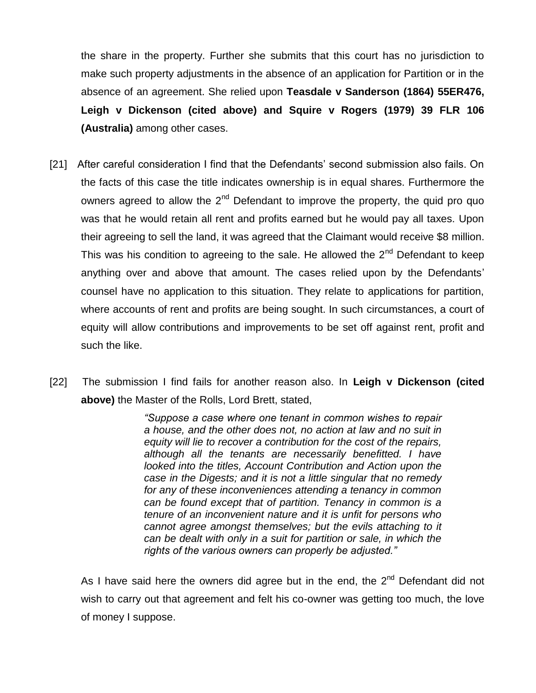the share in the property. Further she submits that this court has no jurisdiction to make such property adjustments in the absence of an application for Partition or in the absence of an agreement. She relied upon **Teasdale v Sanderson (1864) 55ER476, Leigh v Dickenson (cited above) and Squire v Rogers (1979) 39 FLR 106 (Australia)** among other cases.

- [21] After careful consideration I find that the Defendants' second submission also fails. On the facts of this case the title indicates ownership is in equal shares. Furthermore the owners agreed to allow the  $2^{nd}$  Defendant to improve the property, the quid pro quo was that he would retain all rent and profits earned but he would pay all taxes. Upon their agreeing to sell the land, it was agreed that the Claimant would receive \$8 million. This was his condition to agreeing to the sale. He allowed the  $2<sup>nd</sup>$  Defendant to keep anything over and above that amount. The cases relied upon by the Defendants' counsel have no application to this situation. They relate to applications for partition, where accounts of rent and profits are being sought. In such circumstances, a court of equity will allow contributions and improvements to be set off against rent, profit and such the like.
- [22] The submission I find fails for another reason also. In **Leigh v Dickenson (cited above)** the Master of the Rolls, Lord Brett, stated,

*"Suppose a case where one tenant in common wishes to repair a house, and the other does not, no action at law and no suit in equity will lie to recover a contribution for the cost of the repairs, although all the tenants are necessarily benefitted. I have looked into the titles, Account Contribution and Action upon the case in the Digests; and it is not a little singular that no remedy for any of these inconveniences attending a tenancy in common can be found except that of partition. Tenancy in common is a tenure of an inconvenient nature and it is unfit for persons who cannot agree amongst themselves; but the evils attaching to it can be dealt with only in a suit for partition or sale, in which the rights of the various owners can properly be adjusted."*

As I have said here the owners did agree but in the end, the  $2<sup>nd</sup>$  Defendant did not wish to carry out that agreement and felt his co-owner was getting too much, the love of money I suppose.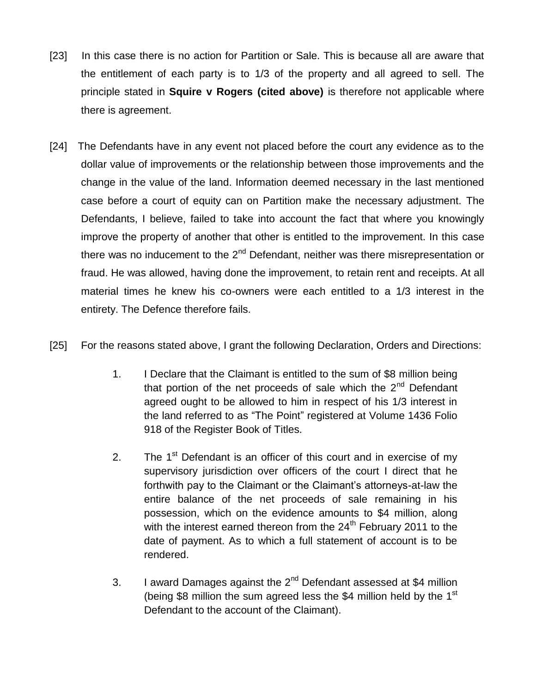- [23] In this case there is no action for Partition or Sale. This is because all are aware that the entitlement of each party is to 1/3 of the property and all agreed to sell. The principle stated in **Squire v Rogers (cited above)** is therefore not applicable where there is agreement.
- [24] The Defendants have in any event not placed before the court any evidence as to the dollar value of improvements or the relationship between those improvements and the change in the value of the land. Information deemed necessary in the last mentioned case before a court of equity can on Partition make the necessary adjustment. The Defendants, I believe, failed to take into account the fact that where you knowingly improve the property of another that other is entitled to the improvement. In this case there was no inducement to the  $2<sup>nd</sup>$  Defendant, neither was there misrepresentation or fraud. He was allowed, having done the improvement, to retain rent and receipts. At all material times he knew his co-owners were each entitled to a 1/3 interest in the entirety. The Defence therefore fails.
- [25] For the reasons stated above, I grant the following Declaration, Orders and Directions:
	- 1. I Declare that the Claimant is entitled to the sum of \$8 million being that portion of the net proceeds of sale which the  $2<sup>nd</sup>$  Defendant agreed ought to be allowed to him in respect of his 1/3 interest in the land referred to as "The Point" registered at Volume 1436 Folio 918 of the Register Book of Titles.
	- 2. The  $1<sup>st</sup>$  Defendant is an officer of this court and in exercise of my supervisory jurisdiction over officers of the court I direct that he forthwith pay to the Claimant or the Claimant's attorneys-at-law the entire balance of the net proceeds of sale remaining in his possession, which on the evidence amounts to \$4 million, along with the interest earned thereon from the  $24<sup>th</sup>$  February 2011 to the date of payment. As to which a full statement of account is to be rendered.
	- 3. I award Damages against the  $2^{nd}$  Defendant assessed at \$4 million (being \$8 million the sum agreed less the \$4 million held by the  $1<sup>st</sup>$ Defendant to the account of the Claimant).